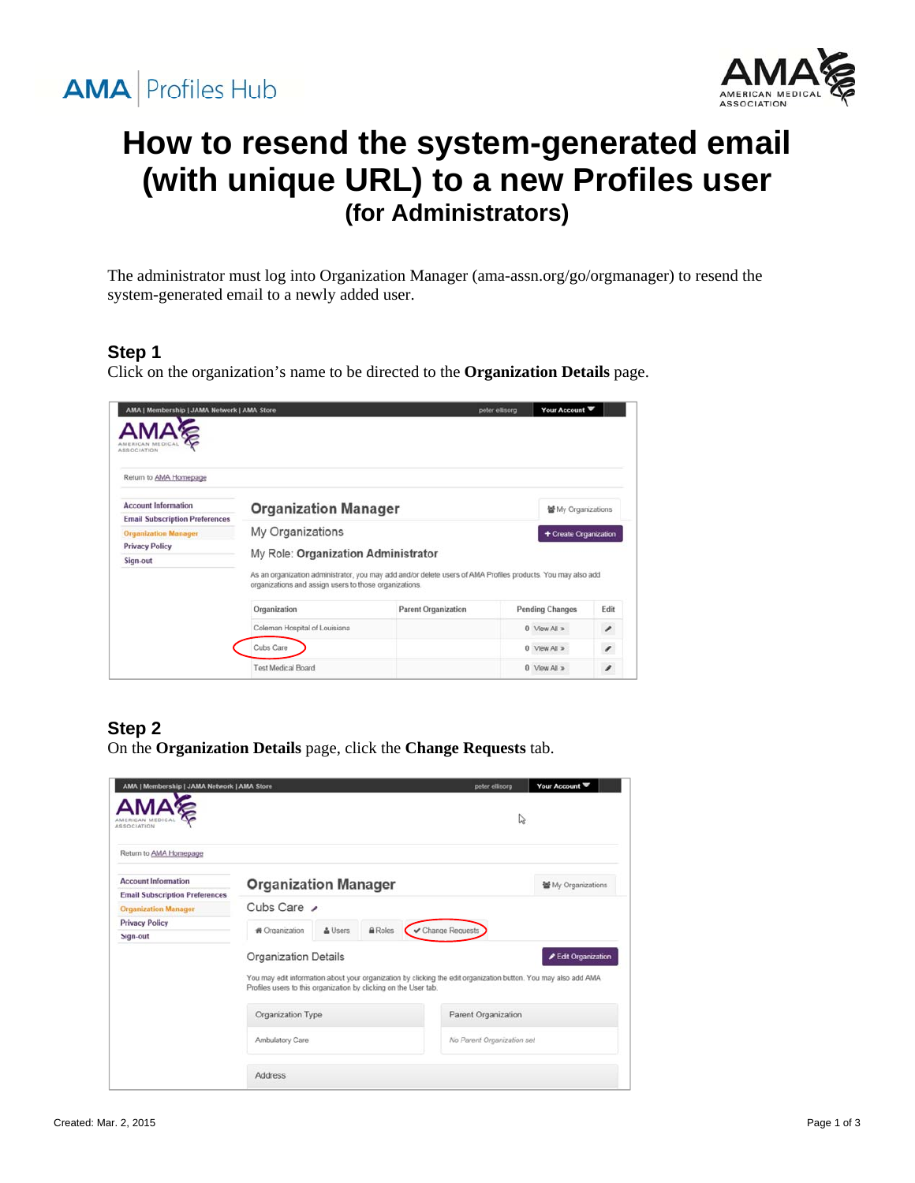



# **How to resend the system-generated email (with unique URL) to a new Profiles user (for Administrators)**

The administrator must log into Organization Manager (ama-assn.org/go/orgmanager) to resend the system-generated email to a newly added user.

#### **Step 1**

Click on the organization's name to be directed to the **Organization Details** page.

| <b>ASSOCIATION</b>                    |                                                                                                                                                                        |                            |                        |                          |
|---------------------------------------|------------------------------------------------------------------------------------------------------------------------------------------------------------------------|----------------------------|------------------------|--------------------------|
| Return to AMA Homepage                |                                                                                                                                                                        |                            |                        |                          |
| <b>Account Information</b>            | <b>Organization Manager</b>                                                                                                                                            |                            | 불 My Organizations     |                          |
| <b>Email Subscription Preferences</b> |                                                                                                                                                                        |                            |                        |                          |
| <b>Organization Manager</b>           | My Organizations                                                                                                                                                       |                            | + Create Organization  |                          |
| <b>Privacy Policy</b>                 |                                                                                                                                                                        |                            |                        |                          |
| Sign-out                              | My Role: Organization Administrator                                                                                                                                    |                            |                        |                          |
|                                       | As an organization administrator, you may add and/or delete users of AMA Profiles products. You may also add<br>organizations and assign users to those organizations. |                            |                        |                          |
|                                       | Organization                                                                                                                                                           | <b>Parent Organization</b> | <b>Pending Changes</b> | Edit                     |
|                                       |                                                                                                                                                                        |                            |                        |                          |
|                                       | Coleman Hospital of Louisiana                                                                                                                                          |                            | $0$ View All $\geq$    | ,                        |
|                                       | Cubs Care                                                                                                                                                              |                            | $0$ View All $\ge$     | $\overline{\phantom{a}}$ |

#### **Step 2**

On the **Organization Details** page, click the **Change Requests** tab.

| AMA   Membership   JAMA Network   AMA Store                          |                                                                                                 |         |         | peter ellisora                                                                                                  |   | Your Account      |
|----------------------------------------------------------------------|-------------------------------------------------------------------------------------------------|---------|---------|-----------------------------------------------------------------------------------------------------------------|---|-------------------|
| <b>ASSOCIATION</b>                                                   |                                                                                                 |         |         |                                                                                                                 | ↳ |                   |
| Return to AMA Homepage                                               |                                                                                                 |         |         |                                                                                                                 |   |                   |
| <b>Account Information</b>                                           | <b>Organization Manager</b>                                                                     |         |         |                                                                                                                 |   | My Organizations  |
| <b>Email Subscription Preferences</b><br><b>Organization Manager</b> | Cubs Care                                                                                       |         |         |                                                                                                                 |   |                   |
| <b>Privacy Policy</b><br>Sign-out                                    | <b>#</b> Organization                                                                           | & Users | A Roles | ✔ Change Requests                                                                                               |   |                   |
|                                                                      | <b>Organization Details</b><br>Profiles users to this organization by clicking on the User tab. |         |         | You may edit information about your organization by clicking the edit organization button. You may also add AMA |   | Edit Organization |
|                                                                      | Organization Type                                                                               |         |         | Parent Organization                                                                                             |   |                   |
|                                                                      | Ambulatory Care                                                                                 |         |         | No Parent Organization set                                                                                      |   |                   |
|                                                                      | <b>Address</b>                                                                                  |         |         |                                                                                                                 |   |                   |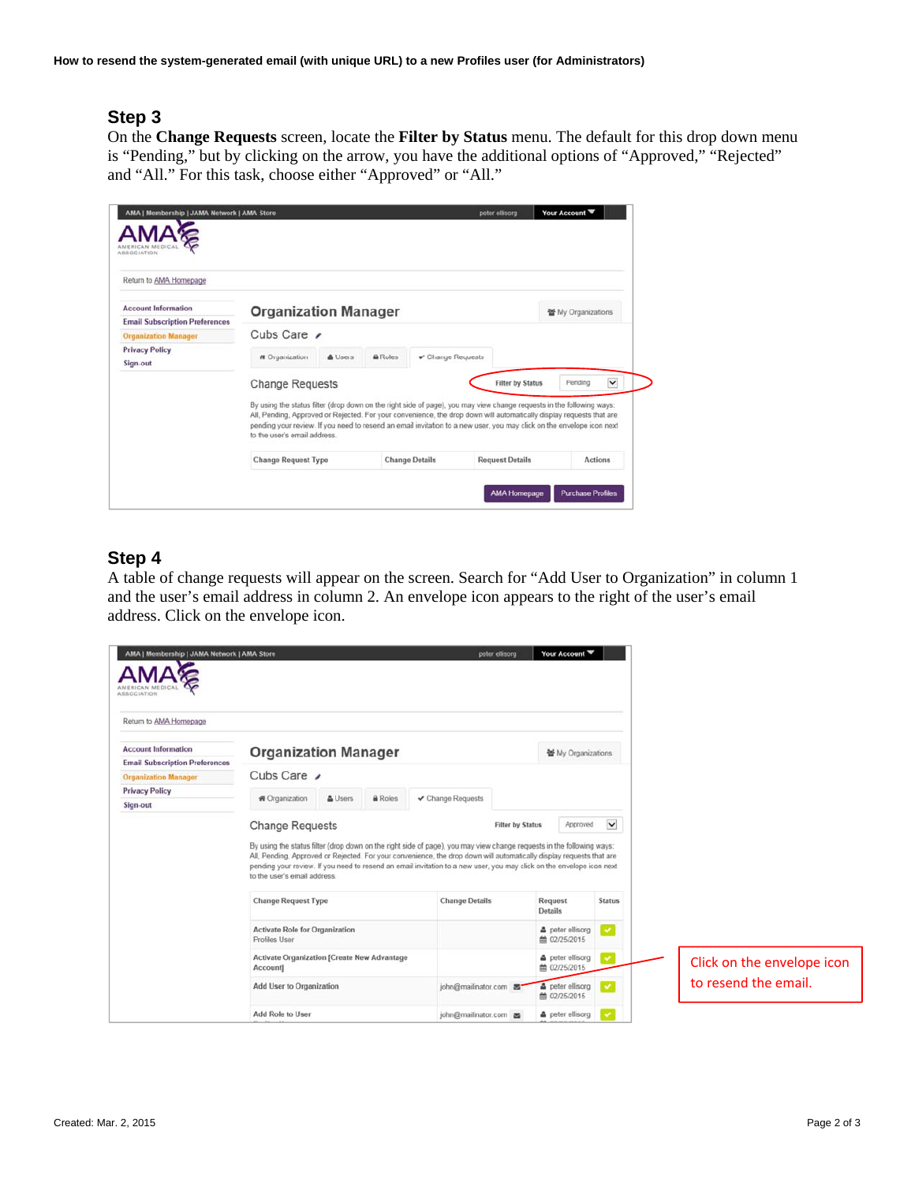#### **Step 3**

On the **Change Requests** screen, locate the **Filter by Status** menu. The default for this drop down menu is "Pending," but by clicking on the arrow, you have the additional options of "Approved," "Rejected" and "All." For this task, choose either "Approved" or "All."

| Return to AMA Homepage                |                                                                                                                                                                                                                                                                                                                                                                                                        |         |         |                                   |                         |                           |              |
|---------------------------------------|--------------------------------------------------------------------------------------------------------------------------------------------------------------------------------------------------------------------------------------------------------------------------------------------------------------------------------------------------------------------------------------------------------|---------|---------|-----------------------------------|-------------------------|---------------------------|--------------|
| <b>Account Information</b>            | <b>Organization Manager</b>                                                                                                                                                                                                                                                                                                                                                                            |         |         |                                   |                         | <b>蟹 My Organizations</b> |              |
| <b>Email Subscription Preferences</b> |                                                                                                                                                                                                                                                                                                                                                                                                        |         |         |                                   |                         |                           |              |
| <b>Organization Manager</b>           | Cubs Care $\prime$                                                                                                                                                                                                                                                                                                                                                                                     |         |         |                                   |                         |                           |              |
| <b>Privacy Policy</b>                 | <b>#</b> Organization                                                                                                                                                                                                                                                                                                                                                                                  | & Users | A Roles | $\curvearrowleft$ Change Requests |                         |                           |              |
| Sign-out                              |                                                                                                                                                                                                                                                                                                                                                                                                        |         |         |                                   |                         |                           |              |
|                                       | <b>Change Requests</b>                                                                                                                                                                                                                                                                                                                                                                                 |         |         |                                   | <b>Filter by Status</b> | Pending                   | $\checkmark$ |
|                                       | By using the status filter (drop down on the right side of page), you may view change requests in the following ways:<br>All, Pending, Approved or Rejected. For your convenience, the drop down will automatically display requests that are<br>pending your review. If you need to resend an email invitation to a new user, you may click on the envelope icon next<br>to the user's email address. |         |         |                                   |                         |                           |              |
|                                       | <b>Change Request Type</b>                                                                                                                                                                                                                                                                                                                                                                             |         |         | <b>Change Details</b>             | <b>Request Details</b>  | <b>Actions</b>            |              |

#### **Step 4**

A table of change requests will appear on the screen. Search for "Add User to Organization" in column 1 and the user's email address in column 2. An envelope icon appears to the right of the user's email address. Click on the envelope icon.

| Return to AMA Homepage                                              |                                                                |         |                |                                                                                                                                                                                                                                                                                                                                                                        |                         |                                         |               |                            |
|---------------------------------------------------------------------|----------------------------------------------------------------|---------|----------------|------------------------------------------------------------------------------------------------------------------------------------------------------------------------------------------------------------------------------------------------------------------------------------------------------------------------------------------------------------------------|-------------------------|-----------------------------------------|---------------|----------------------------|
| <b>Account Information</b><br><b>Email Subscription Preferences</b> | <b>Organization Manager</b>                                    |         |                |                                                                                                                                                                                                                                                                                                                                                                        |                         | 불 My Organizations                      |               |                            |
| <b>Organization Manager</b>                                         | Cubs Care                                                      |         |                |                                                                                                                                                                                                                                                                                                                                                                        |                         |                                         |               |                            |
| <b>Privacy Policy</b>                                               |                                                                |         |                |                                                                                                                                                                                                                                                                                                                                                                        |                         |                                         |               |                            |
| Sign-out                                                            | ₩ Organization                                                 | & Users | <b>A</b> Roles | ✔ Change Requests                                                                                                                                                                                                                                                                                                                                                      |                         |                                         |               |                            |
|                                                                     | <b>Change Requests</b>                                         |         |                |                                                                                                                                                                                                                                                                                                                                                                        | <b>Filter by Status</b> | Approved                                | $\checkmark$  |                            |
|                                                                     | to the user's email address.                                   |         |                | By using the status filter (drop down on the right side of page), you may view change requests in the following ways:<br>All, Pending, Approved or Rejected. For your convenience, the drop down will automatically display requests that are<br>pending your review. If you need to resend an email invitation to a new user, you may click on the envelope icon next |                         |                                         |               |                            |
|                                                                     | <b>Change Request Type</b>                                     |         |                | <b>Change Details</b>                                                                                                                                                                                                                                                                                                                                                  |                         | Request<br>Details                      | <b>Status</b> |                            |
|                                                                     | <b>Activate Role for Organization</b><br>Profiles User         |         |                |                                                                                                                                                                                                                                                                                                                                                                        |                         | a peter ellisorg<br>● 02/25/2015        | ×             |                            |
|                                                                     | <b>Activate Organization [Create New Advantage</b><br>Account] |         |                |                                                                                                                                                                                                                                                                                                                                                                        |                         | & peter ellisorg<br><b>兰 02/25/2015</b> | $\checkmark$  | Click on the envelope icon |
|                                                                     | Add User to Organization                                       |         |                | john@mailinator.com                                                                                                                                                                                                                                                                                                                                                    |                         | <b>A</b> peter ellisorg<br>■ 02/25/2015 | $\checkmark$  | to resend the email.       |
|                                                                     | Add Role to User                                               |         |                | john@mailinator.com                                                                                                                                                                                                                                                                                                                                                    |                         | a peter ellisorg                        |               |                            |